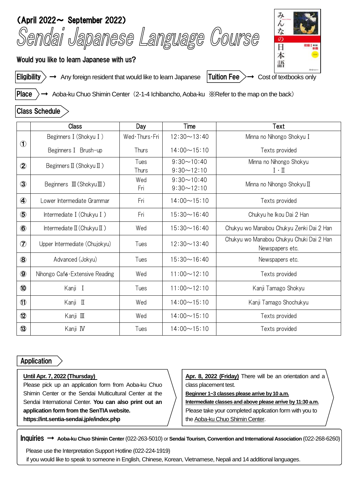



Eligibility  $\rangle \rightarrow$  Any foreign resident that would like to learn Japanese Tuition Fee  $\rangle \rightarrow$  Cost of textbooks only

Place  $\rangle$  → Aoba-ku Chuo Shimin Center (2-1-4 Ichibancho, Aoba-ku ※Refer to the map on the back)

## Class Schedule

|                | Class                                            | Day           | Time               | Text                                                        |
|----------------|--------------------------------------------------|---------------|--------------------|-------------------------------------------------------------|
| $\mathbf{D}$   | Beginners I (Shokyu I)                           | Wed Thurs Fri | $12:30 \sim 13:40$ | Minna no Nihongo Shokyu I                                   |
|                | Beginners I Brush-up                             | Thurs         | $14:00 \sim 15:10$ | Texts provided                                              |
| $\circledZ$    | Beginners $\mathbb I$ (Shokyu $\mathbb I$ )      | Tues          | $9:30 \sim 10:40$  | Minna no Nihongo Shokyu                                     |
|                |                                                  | Thurs         | $9:30 - 12:10$     | $I \cdot \Pi$                                               |
| $\circled{3}$  | Beginners $\mathbb{I}$ (Shokyu $\mathbb{I}$ )    | Wed           | $9:30 \sim 10:40$  | Minna no Nihongo Shokyu II                                  |
|                |                                                  | Fri           | $9:30 \sim 12:10$  |                                                             |
| 4              | Lower Intermediate Grammar                       | Fri           | $14:00 \sim 15:10$ | Texts provided                                              |
| $\circledS$    | Intermediate I (Chukyu I)                        | Fri           | $15:30 \sim 16:40$ | Chukyu he Ikou Dai 2 Han                                    |
| $\circled6$    | Intermediate $\mathbb{I}$ (Chukyu $\mathbb{I}$ ) | Wed           | $15:30 \sim 16:40$ | Chukyu wo Manabou Chukyu Zenki Dai 2 Han                    |
| $\circledcirc$ | Upper Intermediate (Chujokyu)                    | Tues          | $12:30 \sim 13:40$ | Chukyu wo Manabou Chukyu Chuki Dai 2 Han<br>Newspapers etc. |
| $\circledR$    | Advanced (Jokyu)                                 | Tues          | $15:30 \sim 16:40$ | Newspapers etc.                                             |
| $\circledS$    | Nihongo Café Extensive Reading                   | Wed           | $11:00 \sim 12:10$ | Texts provided                                              |
| $\bf \Phi$     | Kanji I                                          | Tues          | $11:00 \sim 12:10$ | Kanji Tamago Shokyu                                         |
| $\mathbf{0}$   | Kanji II                                         | Wed           | $14:00 \sim 15:10$ | Kanji Tamago Shochukyu                                      |
| $\mathbf{Q}$   | Kanji Ⅲ                                          | Wed           | $14:00 \sim 15:10$ | Texts provided                                              |
| $\circled{3}$  | Kanji IV                                         | Tues          | $14:00 \sim 15:10$ | Texts provided                                              |

## Application

## **Until Apr. 7, 2022 (Thursday)**

Please pick up an application form from Aoba-ku Chuo Shimin Center or the Sendai Multicultural Center at the Sendai International Center. **You can also print out an application form from the SenTIAwebsite. https://int.sentia-sendai.jp/e/index.php**

**Apr. 8, 2022 (Friday)** There will be an orientation and a class placement test.

**Beginner 1~3 classes please arrive by 10 a.m.**

**Intermediate classes and above please arrive by 11:30 a.m.** Please take your completed application form with you to the Aoba-ku Chuo Shimin Center.

Inquiries → **Aoba-ku Chuo Shimin Center** (022-263-5010) or **Sendai Tourism, Convention and International Association** (022-268-6260)

Please use the Interpretation Support Hotline (022-224-1919) if you would like to speak to someone in English, Chinese, Korean, Vietnamese, Nepali and 14 additional languages.